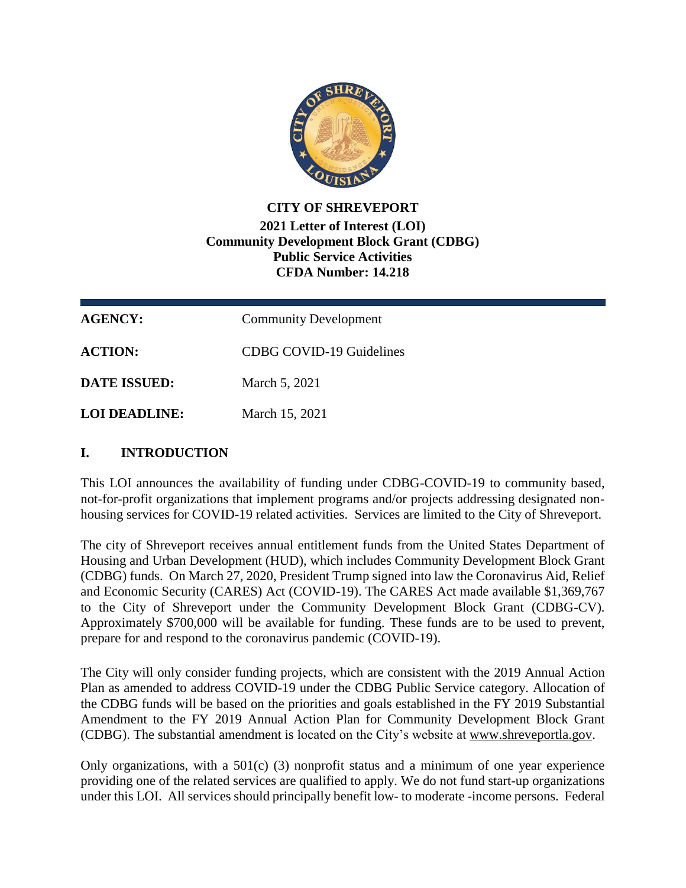

## **CITY OF SHREVEPORT 2021 Letter of Interest (LOI) Community Development Block Grant (CDBG) Public Service Activities CFDA Number: 14.218**

| <b>AGENCY:</b>      | <b>Community Development</b> |
|---------------------|------------------------------|
| <b>ACTION:</b>      | CDBG COVID-19 Guidelines     |
| <b>DATE ISSUED:</b> | March 5, 2021                |
| LOI DEADLINE:       | March 15, 2021               |

## **I. INTRODUCTION**

This LOI announces the availability of funding under CDBG-COVID-19 to community based, not-for-profit organizations that implement programs and/or projects addressing designated nonhousing services for COVID-19 related activities. Services are limited to the City of Shreveport.

The city of Shreveport receives annual entitlement funds from the United States Department of Housing and Urban Development (HUD), which includes Community Development Block Grant (CDBG) funds. On March 27, 2020, President Trump signed into law the Coronavirus Aid, Relief and Economic Security (CARES) Act (COVID-19). The CARES Act made available \$1,369,767 to the City of Shreveport under the Community Development Block Grant (CDBG-CV). Approximately \$700,000 will be available for funding. These funds are to be used to prevent, prepare for and respond to the coronavirus pandemic (COVID-19).

The City will only consider funding projects, which are consistent with the 2019 Annual Action Plan as amended to address COVID-19 under the CDBG Public Service category. Allocation of the CDBG funds will be based on the priorities and goals established in the FY 2019 Substantial Amendment to the FY 2019 Annual Action Plan for Community Development Block Grant (CDBG). The substantial amendment is located on the City's website at [www.shreveportla.gov.](http://www.shreveportla.gov/)

Only organizations, with a  $501(c)$  (3) nonprofit status and a minimum of one year experience providing one of the related services are qualified to apply. We do not fund start-up organizations under this LOI. All services should principally benefit low- to moderate -income persons. Federal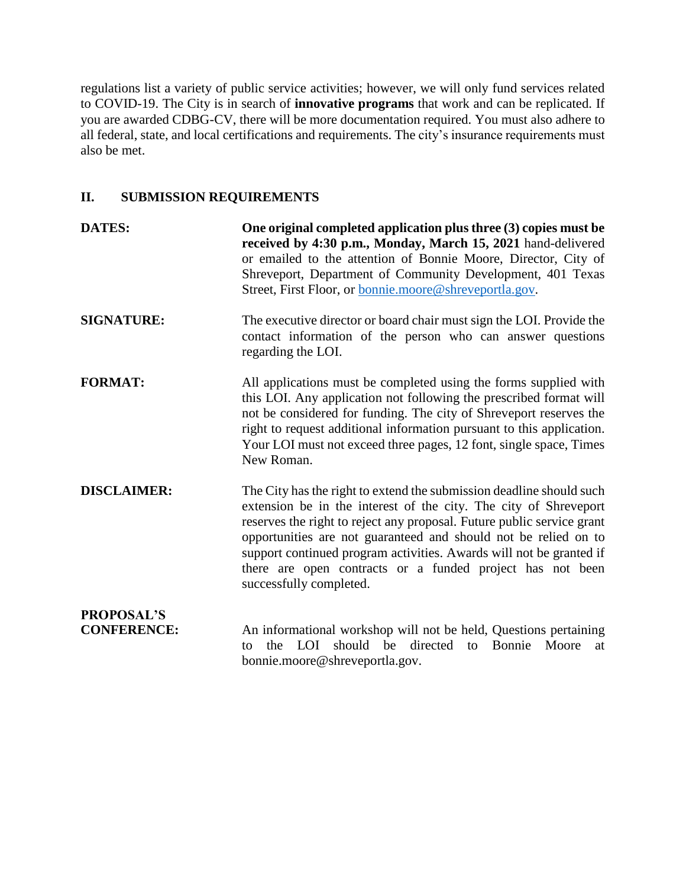regulations list a variety of public service activities; however, we will only fund services related to COVID-19. The City is in search of **innovative programs** that work and can be replicated. If you are awarded CDBG-CV, there will be more documentation required. You must also adhere to all federal, state, and local certifications and requirements. The city's insurance requirements must also be met.

# **II. SUBMISSION REQUIREMENTS**

| <b>DATES:</b>                           | One original completed application plus three (3) copies must be<br>received by 4:30 p.m., Monday, March 15, 2021 hand-delivered<br>or emailed to the attention of Bonnie Moore, Director, City of<br>Shreveport, Department of Community Development, 401 Texas<br>Street, First Floor, or bonnie.moore@shreveportla.gov.                                                                                                                           |
|-----------------------------------------|------------------------------------------------------------------------------------------------------------------------------------------------------------------------------------------------------------------------------------------------------------------------------------------------------------------------------------------------------------------------------------------------------------------------------------------------------|
| <b>SIGNATURE:</b>                       | The executive director or board chair must sign the LOI. Provide the<br>contact information of the person who can answer questions<br>regarding the LOI.                                                                                                                                                                                                                                                                                             |
| <b>FORMAT:</b>                          | All applications must be completed using the forms supplied with<br>this LOI. Any application not following the prescribed format will<br>not be considered for funding. The city of Shreveport reserves the<br>right to request additional information pursuant to this application.<br>Your LOI must not exceed three pages, 12 font, single space, Times<br>New Roman.                                                                            |
| <b>DISCLAIMER:</b>                      | The City has the right to extend the submission deadline should such<br>extension be in the interest of the city. The city of Shreveport<br>reserves the right to reject any proposal. Future public service grant<br>opportunities are not guaranteed and should not be relied on to<br>support continued program activities. Awards will not be granted if<br>there are open contracts or a funded project has not been<br>successfully completed. |
| <b>PROPOSAL'S</b><br><b>CONFERENCE:</b> | An informational workshop will not be held, Questions pertaining<br>should be<br>directed<br>Bonnie<br>LOI<br>Moore<br>the<br>to<br>at<br>tο<br>bonnie.moore@shreveportla.gov.                                                                                                                                                                                                                                                                       |